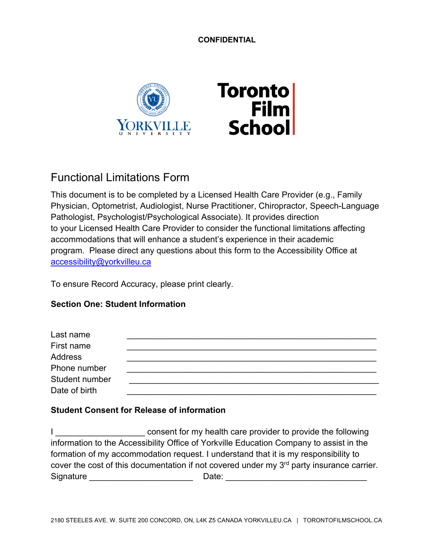**CONFIDENTIAL**



# Functional Limitations Form

This document is to be completed by a Licensed Health Care Provider (e.g., Family Physician, Optometrist, Audiologist, Nurse Practitioner, Chiropractor, Speech-Language Pathologist, Psychologist/Psychological Associate). It provides direction to your Licensed Health Care Provider to consider the functional limitations affecting accommodations that will enhance a student's experience in their academic program. Please direct any questions about this form to the Accessibility Office at accessibility@yorkvilleu.ca

To ensure Record Accuracy, please print clearly.

## **Section One: Student Information**

| Last name      |  |
|----------------|--|
| First name     |  |
| Address        |  |
| Phone number   |  |
| Student number |  |
| Date of birth  |  |

## **Student Consent for Release of information**

I consent for my health care provider to provide the following information to the Accessibility Office of Yorkville Education Company to assist in the formation of my accommodation request. I understand that it is my responsibility to cover the cost of this documentation if not covered under my 3<sup>rd</sup> party insurance carrier. Signature \_\_\_\_\_\_\_\_\_\_\_\_\_\_\_\_\_\_\_\_\_\_ Date: \_\_\_\_\_\_\_\_\_\_\_\_\_\_\_\_\_\_\_\_\_\_\_\_\_\_\_\_\_\_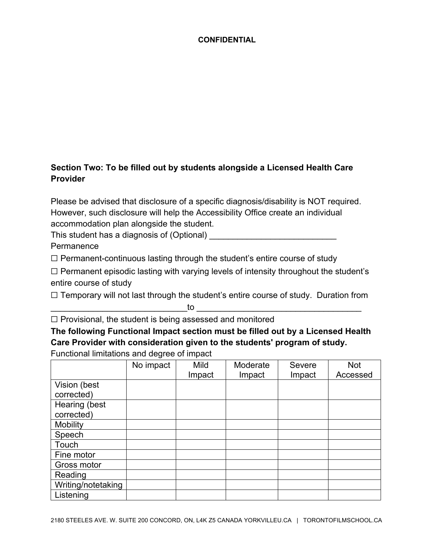## **CONFIDENTIAL**

## **Section Two: To be filled out by students alongside a Licensed Health Care Provider**

Please be advised that disclosure of a specific diagnosis/disability is NOT required. However, such disclosure will help the Accessibility Office create an individual accommodation plan alongside the student.

This student has a diagnosis of (Optional)

**Permanence** 

☐ Permanent-continuous lasting through the student's entire course of study

 $\Box$  Permanent episodic lasting with varying levels of intensity throughout the student's entire course of study

□ Temporary will not last through the student's entire course of study. Duration from

 $\hbox{\bf to}$  . The contract of  $\hbox{\bf to}$  , we can also to  $\hbox{\bf to}$  . The contract of  $\hbox{\bf to}$  , we can also to  $\hbox{\bf to}$ 

 $\Box$  Provisional, the student is being assessed and monitored

**The following Functional Impact section must be filled out by a Licensed Health Care Provider with consideration given to the students' program of study.** 

Functional limitations and degree of impact

|                    | No impact | Mild   | Moderate | <b>Severe</b> | <b>Not</b> |
|--------------------|-----------|--------|----------|---------------|------------|
|                    |           | Impact | Impact   | Impact        | Accessed   |
| Vision (best       |           |        |          |               |            |
| corrected)         |           |        |          |               |            |
| Hearing (best      |           |        |          |               |            |
| corrected)         |           |        |          |               |            |
| <b>Mobility</b>    |           |        |          |               |            |
| Speech             |           |        |          |               |            |
| Touch              |           |        |          |               |            |
| Fine motor         |           |        |          |               |            |
| Gross motor        |           |        |          |               |            |
| Reading            |           |        |          |               |            |
| Writing/notetaking |           |        |          |               |            |
| Listening          |           |        |          |               |            |